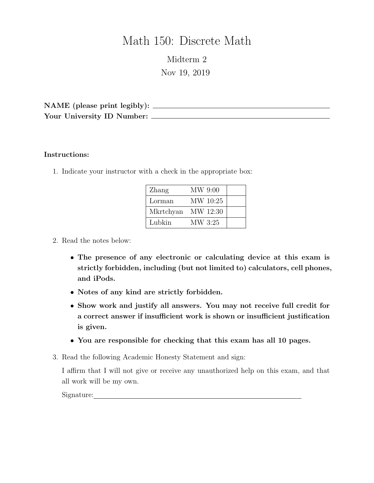# Math 150: Discrete Math

Midterm 2 Nov 19, 2019

NAME (please print legibly): Your University ID Number:

#### Instructions:

1. Indicate your instructor with a check in the appropriate box:

| Zhang              | MW 9:00  |  |
|--------------------|----------|--|
| Lorman             | MW 10:25 |  |
| Mkrtchyan MW 12:30 |          |  |
| Lubkin             | MW 3:25  |  |

#### 2. Read the notes below:

- The presence of any electronic or calculating device at this exam is strictly forbidden, including (but not limited to) calculators, cell phones, and iPods.
- Notes of any kind are strictly forbidden.
- Show work and justify all answers. You may not receive full credit for a correct answer if insufficient work is shown or insufficient justification is given.
- You are responsible for checking that this exam has all 10 pages.
- 3. Read the following Academic Honesty Statement and sign:

I affirm that I will not give or receive any unauthorized help on this exam, and that all work will be my own.

Signature: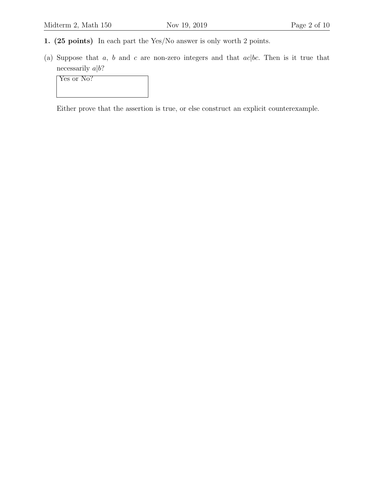- 1. (25 points) In each part the Yes/No answer is only worth 2 points.
- (a) Suppose that  $a, b$  and  $c$  are non-zero integers and that  $ac|bc$ . Then is it true that necessarily  $a|b$ ?

Yes or No?

Either prove that the assertion is true, or else construct an explicit counterexample.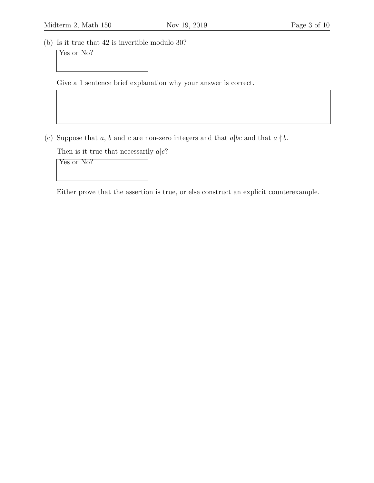(b) Is it true that 42 is invertible modulo 30?

Yes or No?

Give a 1 sentence brief explanation why your answer is correct.

(c) Suppose that a, b and c are non-zero integers and that  $a|bc$  and that  $a \nmid b$ .

Then is it true that necessarily  $a|c$ ?

Yes or No?

Either prove that the assertion is true, or else construct an explicit counterexample.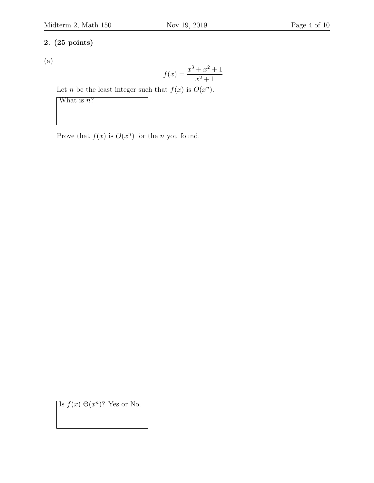### 2. (25 points)

(a)

$$
f(x) = \frac{x^3 + x^2 + 1}{x^2 + 1}
$$

Let *n* be the least integer such that  $f(x)$  is  $O(x^n)$ .

What is  $n$ ?

Prove that  $f(x)$  is  $O(x^n)$  for the *n* you found.

Is  $f(x) \Theta(x^n)$ ? Yes or No.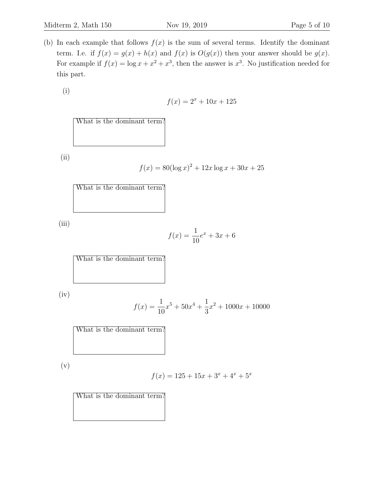(i)

$$
f(x) = 2^x + 10x + 125
$$

|  | What is the dominant term? |  |
|--|----------------------------|--|
|  |                            |  |
|  |                            |  |

(ii)

$$
f(x) = 80(\log x)^2 + 12x \log x + 30x + 25
$$

| What is the dominant term? |  |  |  |
|----------------------------|--|--|--|
|                            |  |  |  |
|                            |  |  |  |
|                            |  |  |  |

(iii)

$$
f(x) = \frac{1}{10}e^x + 3x + 6
$$

What is the dominant term?

(iv)

$$
f(x) = \frac{1}{10}x^5 + 50x^4 + \frac{1}{3}x^2 + 1000x + 10000
$$

What is the dominant term?

(v)

$$
f(x) = 125 + 15x + 3^{x} + 4^{x} + 5^{x}
$$

What is the dominant term?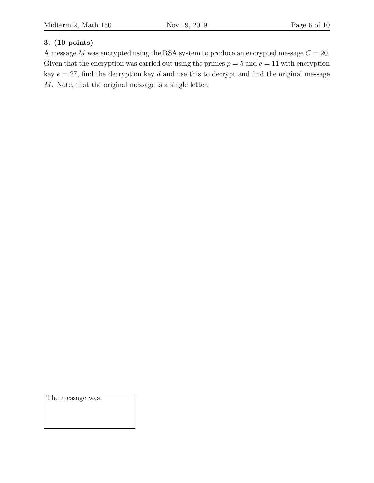## 3. (10 points)

A message M was encrypted using the RSA system to produce an encrypted message  $C = 20$ . Given that the encryption was carried out using the primes  $p = 5$  and  $q = 11$  with encryption key  $e = 27$ , find the decryption key d and use this to decrypt and find the original message M. Note, that the original message is a single letter.

The message was: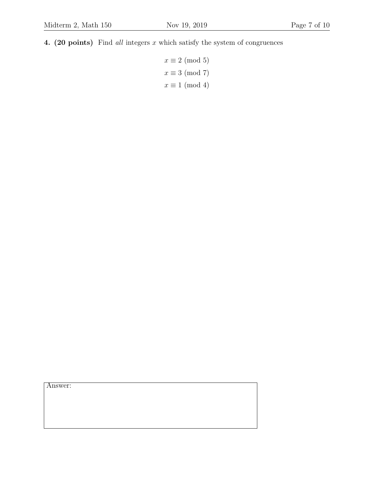4. (20 points) Find all integers  $x$  which satisfy the system of congruences

 $x \equiv 2 \pmod{5}$  $x \equiv 3 \pmod{7}$  $x \equiv 1 \pmod{4}$ 

Answer: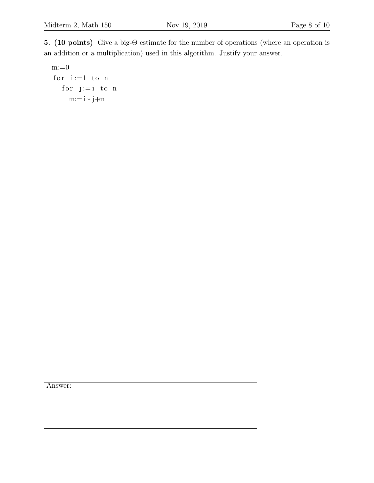5. (10 points) Give a big-Θ estimate for the number of operations (where an operation is an addition or a multiplication) used in this algorithm. Justify your answer.

 $m:=0$ for  $i := 1$  to n for  $j := i$  to n  $m:= i * j+m$ 

Answer: